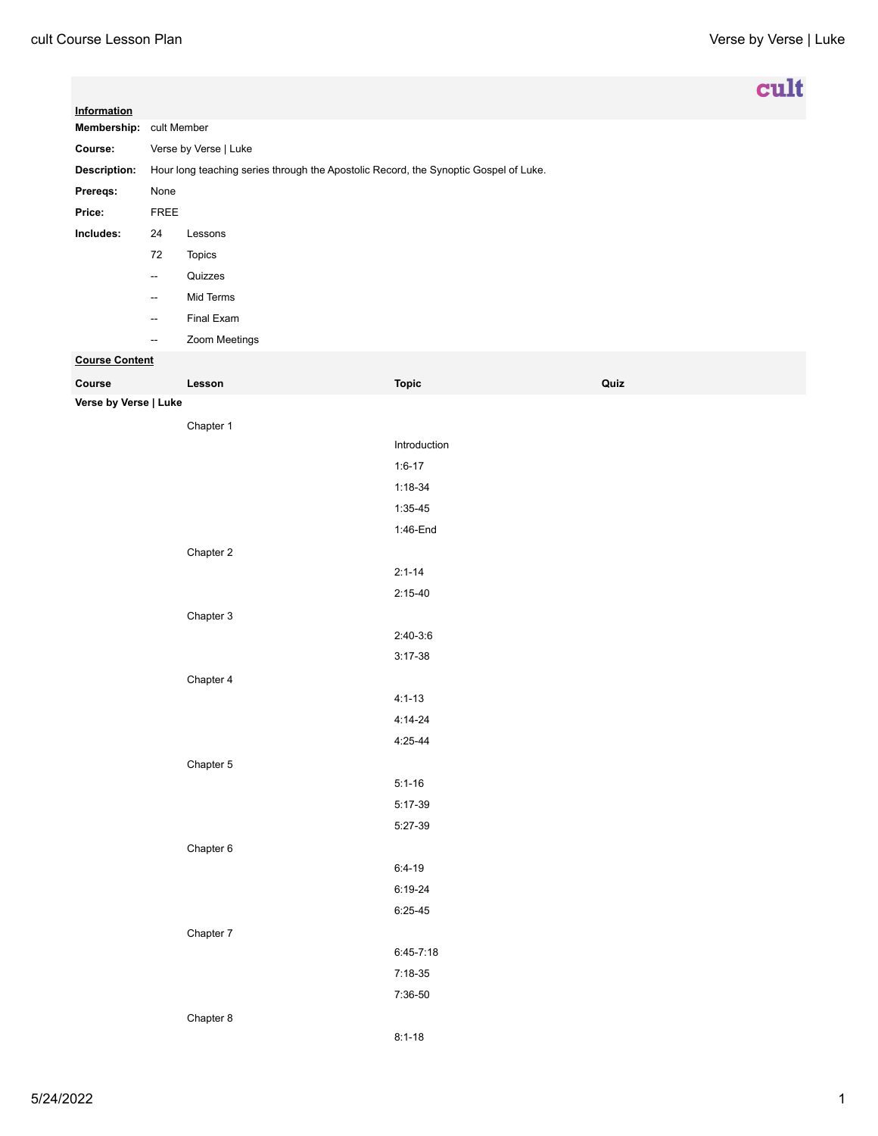|                       |                                                                                      |               |               |      | cult |  |
|-----------------------|--------------------------------------------------------------------------------------|---------------|---------------|------|------|--|
| <b>Information</b>    |                                                                                      |               |               |      |      |  |
|                       | Membership: cult Member                                                              |               |               |      |      |  |
| Course:               | Verse by Verse   Luke                                                                |               |               |      |      |  |
| Description:          | Hour long teaching series through the Apostolic Record, the Synoptic Gospel of Luke. |               |               |      |      |  |
| Prereqs:              | None                                                                                 |               |               |      |      |  |
| Price:                | ${\sf FREE}$                                                                         |               |               |      |      |  |
| Includes:             | 24                                                                                   | Lessons       |               |      |      |  |
|                       | 72                                                                                   | Topics        |               |      |      |  |
|                       | --                                                                                   | Quizzes       |               |      |      |  |
|                       | --                                                                                   | Mid Terms     |               |      |      |  |
|                       | $\overline{\phantom{a}}$                                                             | Final Exam    |               |      |      |  |
|                       | $\overline{\phantom{a}}$                                                             | Zoom Meetings |               |      |      |  |
| <b>Course Content</b> |                                                                                      |               |               |      |      |  |
| Course                |                                                                                      | Lesson        | <b>Topic</b>  | Quiz |      |  |
| Verse by Verse   Luke |                                                                                      |               |               |      |      |  |
|                       |                                                                                      | Chapter 1     |               |      |      |  |
|                       |                                                                                      |               | Introduction  |      |      |  |
|                       |                                                                                      |               | $1:6-17$      |      |      |  |
|                       |                                                                                      |               | 1:18-34       |      |      |  |
|                       |                                                                                      |               | $1:35-45$     |      |      |  |
|                       |                                                                                      |               | 1:46-End      |      |      |  |
|                       |                                                                                      | Chapter 2     |               |      |      |  |
|                       |                                                                                      |               | $2:1 - 14$    |      |      |  |
|                       |                                                                                      |               | $2:15-40$     |      |      |  |
|                       |                                                                                      | Chapter 3     |               |      |      |  |
|                       |                                                                                      |               | $2:40-3:6$    |      |      |  |
|                       |                                                                                      |               | $3:17-38$     |      |      |  |
|                       |                                                                                      | Chapter 4     |               |      |      |  |
|                       |                                                                                      |               | $4:1 - 13$    |      |      |  |
|                       |                                                                                      |               | $4:14 - 24$   |      |      |  |
|                       |                                                                                      |               | $4:25-44$     |      |      |  |
|                       |                                                                                      | Chapter 5     |               |      |      |  |
|                       |                                                                                      |               | $5:1 - 16$    |      |      |  |
|                       |                                                                                      |               | $5:17-39$     |      |      |  |
|                       |                                                                                      |               | 5:27-39       |      |      |  |
|                       |                                                                                      | Chapter 6     |               |      |      |  |
|                       |                                                                                      |               | $6:4-19$      |      |      |  |
|                       |                                                                                      |               | 6:19-24       |      |      |  |
|                       |                                                                                      |               | $6:25-45$     |      |      |  |
|                       |                                                                                      | Chapter 7     |               |      |      |  |
|                       |                                                                                      |               | $6:45 - 7:18$ |      |      |  |
|                       |                                                                                      |               | $7:18-35$     |      |      |  |
|                       |                                                                                      |               | $7:36-50$     |      |      |  |
|                       |                                                                                      | Chapter 8     |               |      |      |  |

8:1-18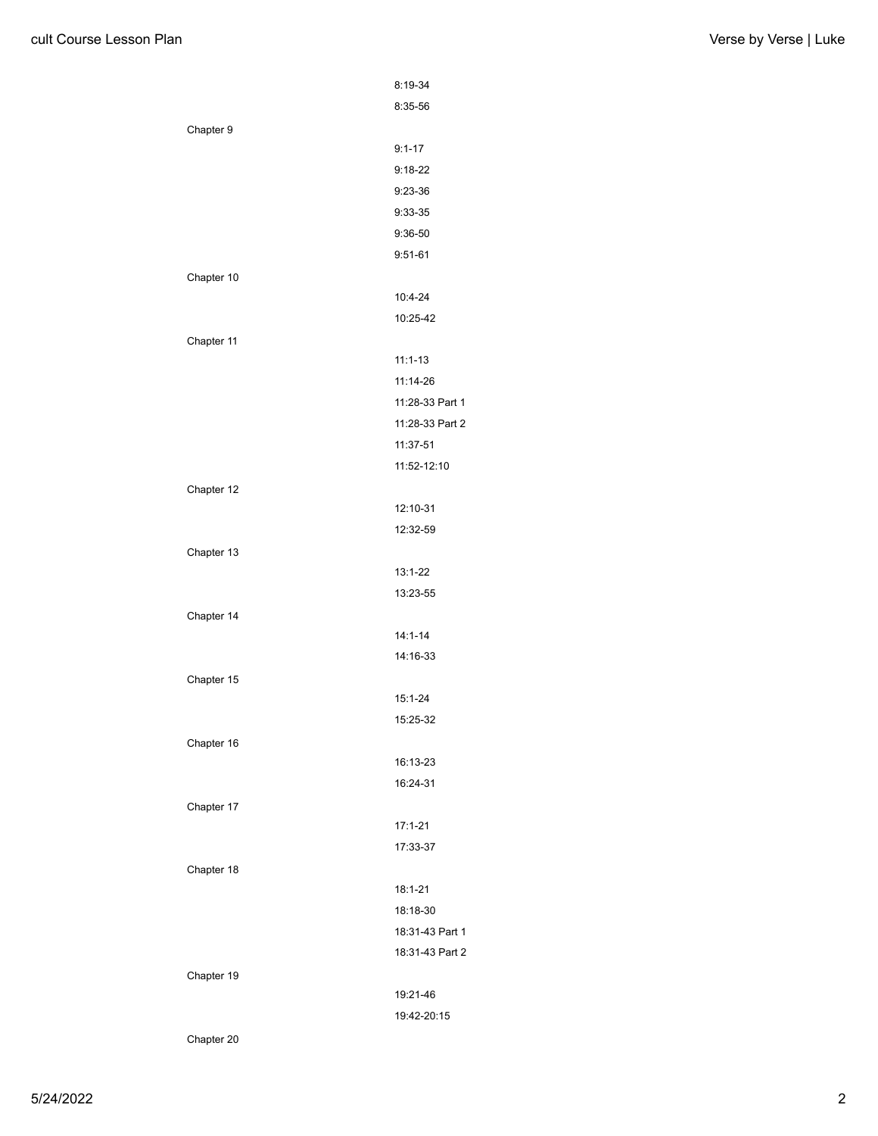|            | 8:19-34         |
|------------|-----------------|
|            | 8:35-56         |
| Chapter 9  |                 |
|            | $9:1 - 17$      |
|            | $9:18-22$       |
|            | $9:23-36$       |
|            | 9:33-35         |
|            | 9:36-50         |
|            | $9:51-61$       |
| Chapter 10 |                 |
|            | 10:4-24         |
|            | 10:25-42        |
| Chapter 11 |                 |
|            | $11:1 - 13$     |
|            | 11:14-26        |
|            | 11:28-33 Part 1 |
|            | 11:28-33 Part 2 |
|            | 11:37-51        |
|            | 11:52-12:10     |
| Chapter 12 |                 |
|            | 12:10-31        |
|            | 12:32-59        |
| Chapter 13 |                 |
|            | 13:1-22         |
|            | 13:23-55        |
| Chapter 14 |                 |
|            | $14:1 - 14$     |
|            | 14:16-33        |
| Chapter 15 |                 |
|            | 15:1-24         |
|            | 15:25-32        |
| Chapter 16 |                 |
|            | 16:13-23        |
|            | 16:24-31        |
| Chapter 17 |                 |
|            | $17:1 - 21$     |
|            | 17:33-37        |
| Chapter 18 |                 |
|            | 18:1-21         |
|            | 18:18-30        |
|            | 18:31-43 Part 1 |
|            | 18:31-43 Part 2 |
| Chapter 19 |                 |
|            | 19:21-46        |
|            | 19:42-20:15     |
|            |                 |

Chapter 20